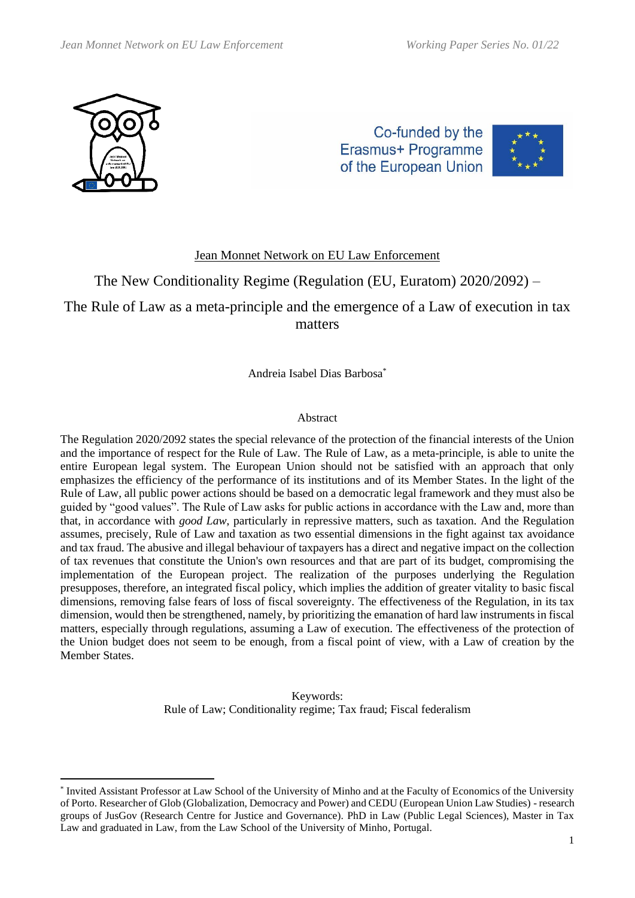

Co-funded by the Erasmus+ Programme of the European Union



### Jean Monnet Network on EU Law Enforcement

# The New Conditionality Regime (Regulation (EU, Euratom) 2020/2092) –

## The Rule of Law as a meta-principle and the emergence of a Law of execution in tax matters

Andreia Isabel Dias Barbosa\*

#### Abstract

The Regulation 2020/2092 states the special relevance of the protection of the financial interests of the Union and the importance of respect for the Rule of Law. The Rule of Law, as a meta-principle, is able to unite the entire European legal system. The European Union should not be satisfied with an approach that only emphasizes the efficiency of the performance of its institutions and of its Member States. In the light of the Rule of Law, all public power actions should be based on a democratic legal framework and they must also be guided by "good values". The Rule of Law asks for public actions in accordance with the Law and, more than that, in accordance with *good Law*, particularly in repressive matters, such as taxation. And the Regulation assumes, precisely, Rule of Law and taxation as two essential dimensions in the fight against tax avoidance and tax fraud. The abusive and illegal behaviour of taxpayers has a direct and negative impact on the collection of tax revenues that constitute the Union's own resources and that are part of its budget, compromising the implementation of the European project. The realization of the purposes underlying the Regulation presupposes, therefore, an integrated fiscal policy, which implies the addition of greater vitality to basic fiscal dimensions, removing false fears of loss of fiscal sovereignty. The effectiveness of the Regulation, in its tax dimension, would then be strengthened, namely, by prioritizing the emanation of hard law instruments in fiscal matters, especially through regulations, assuming a Law of execution. The effectiveness of the protection of the Union budget does not seem to be enough, from a fiscal point of view, with a Law of creation by the Member States.

> Keywords: Rule of Law; Conditionality regime; Tax fraud; Fiscal federalism

<sup>\*</sup> Invited Assistant Professor at Law School of the University of Minho and at the Faculty of Economics of the University of Porto. Researcher of Glob (Globalization, Democracy and Power) and CEDU (European Union Law Studies) - research groups of JusGov (Research Centre for Justice and Governance). PhD in Law (Public Legal Sciences), Master in Tax Law and graduated in Law, from the Law School of the University of Minho, Portugal.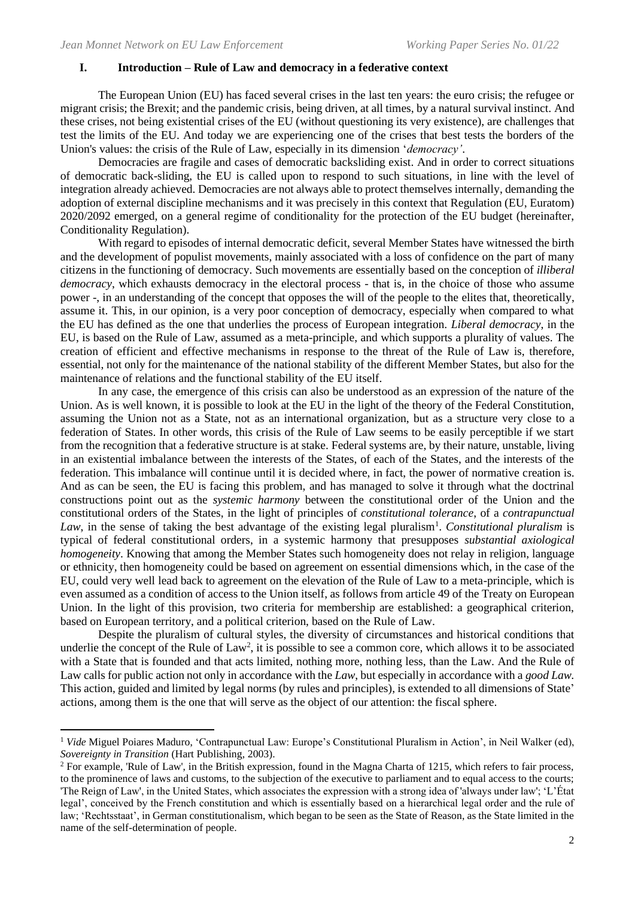#### **I. Introduction – Rule of Law and democracy in a federative context**

The European Union (EU) has faced several crises in the last ten years: the euro crisis; the refugee or migrant crisis; the Brexit; and the pandemic crisis, being driven, at all times, by a natural survival instinct. And these crises, not being existential crises of the EU (without questioning its very existence), are challenges that test the limits of the EU. And today we are experiencing one of the crises that best tests the borders of the Union's values: the crisis of the Rule of Law, especially in its dimension '*democracy'*.

Democracies are fragile and cases of democratic backsliding exist. And in order to correct situations of democratic back-sliding, the EU is called upon to respond to such situations, in line with the level of integration already achieved. Democracies are not always able to protect themselves internally, demanding the adoption of external discipline mechanisms and it was precisely in this context that Regulation (EU, Euratom) 2020/2092 emerged, on a general regime of conditionality for the protection of the EU budget (hereinafter, Conditionality Regulation).

With regard to episodes of internal democratic deficit, several Member States have witnessed the birth and the development of populist movements, mainly associated with a loss of confidence on the part of many citizens in the functioning of democracy. Such movements are essentially based on the conception of *illiberal democracy*, which exhausts democracy in the electoral process - that is, in the choice of those who assume power -, in an understanding of the concept that opposes the will of the people to the elites that, theoretically, assume it. This, in our opinion, is a very poor conception of democracy, especially when compared to what the EU has defined as the one that underlies the process of European integration. *Liberal democracy*, in the EU, is based on the Rule of Law, assumed as a meta-principle, and which supports a plurality of values. The creation of efficient and effective mechanisms in response to the threat of the Rule of Law is, therefore, essential, not only for the maintenance of the national stability of the different Member States, but also for the maintenance of relations and the functional stability of the EU itself.

In any case, the emergence of this crisis can also be understood as an expression of the nature of the Union. As is well known, it is possible to look at the EU in the light of the theory of the Federal Constitution, assuming the Union not as a State, not as an international organization, but as a structure very close to a federation of States. In other words, this crisis of the Rule of Law seems to be easily perceptible if we start from the recognition that a federative structure is at stake. Federal systems are, by their nature, unstable, living in an existential imbalance between the interests of the States, of each of the States, and the interests of the federation. This imbalance will continue until it is decided where, in fact, the power of normative creation is. And as can be seen, the EU is facing this problem, and has managed to solve it through what the doctrinal constructions point out as the *systemic harmony* between the constitutional order of the Union and the constitutional orders of the States, in the light of principles of *constitutional tolerance*, of a *contrapunctual*  Law, in the sense of taking the best advantage of the existing legal pluralism<sup>1</sup>. *Constitutional pluralism* is typical of federal constitutional orders, in a systemic harmony that presupposes *substantial axiological homogeneity*. Knowing that among the Member States such homogeneity does not relay in religion, language or ethnicity, then homogeneity could be based on agreement on essential dimensions which, in the case of the EU, could very well lead back to agreement on the elevation of the Rule of Law to a meta-principle, which is even assumed as a condition of access to the Union itself, as follows from article 49 of the Treaty on European Union. In the light of this provision, two criteria for membership are established: a geographical criterion, based on European territory, and a political criterion, based on the Rule of Law.

Despite the pluralism of cultural styles, the diversity of circumstances and historical conditions that underlie the concept of the Rule of  $Law^2$ , it is possible to see a common core, which allows it to be associated with a State that is founded and that acts limited, nothing more, nothing less, than the Law. And the Rule of Law calls for public action not only in accordance with the *Law*, but especially in accordance with a *good Law.* This action, guided and limited by legal norms (by rules and principles), is extended to all dimensions of State' actions, among them is the one that will serve as the object of our attention: the fiscal sphere.

<sup>1</sup> *Vide* Miguel Poiares Maduro, 'Contrapunctual Law: Europe's Constitutional Pluralism in Action', in Neil Walker (ed), *Sovereignty in Transition* (Hart Publishing, 2003).

<sup>&</sup>lt;sup>2</sup> For example, 'Rule of Law', in the British expression, found in the Magna Charta of 1215, which refers to fair process, to the prominence of laws and customs, to the subjection of the executive to parliament and to equal access to the courts; 'The Reign of Law', in the United States, which associates the expression with a strong idea of 'always under law'; 'L'État legal', conceived by the French constitution and which is essentially based on a hierarchical legal order and the rule of law; 'Rechtsstaat', in German constitutionalism, which began to be seen as the State of Reason, as the State limited in the name of the self-determination of people.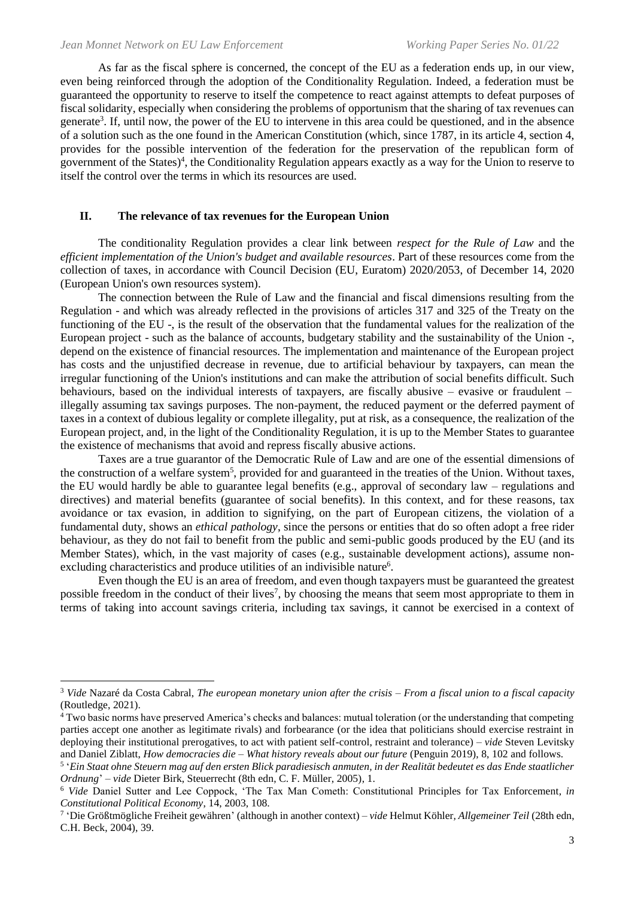As far as the fiscal sphere is concerned, the concept of the EU as a federation ends up, in our view, even being reinforced through the adoption of the Conditionality Regulation. Indeed, a federation must be guaranteed the opportunity to reserve to itself the competence to react against attempts to defeat purposes of fiscal solidarity, especially when considering the problems of opportunism that the sharing of tax revenues can generate<sup>3</sup>. If, until now, the power of the EU to intervene in this area could be questioned, and in the absence of a solution such as the one found in the American Constitution (which, since 1787, in its article 4, section 4, provides for the possible intervention of the federation for the preservation of the republican form of government of the States)<sup>4</sup>, the Conditionality Regulation appears exactly as a way for the Union to reserve to itself the control over the terms in which its resources are used.

#### **II. The relevance of tax revenues for the European Union**

The conditionality Regulation provides a clear link between *respect for the Rule of Law* and the *efficient implementation of the Union's budget and available resources*. Part of these resources come from the collection of taxes, in accordance with Council Decision (EU, Euratom) 2020/2053, of December 14, 2020 (European Union's own resources system).

The connection between the Rule of Law and the financial and fiscal dimensions resulting from the Regulation - and which was already reflected in the provisions of articles 317 and 325 of the Treaty on the functioning of the EU -, is the result of the observation that the fundamental values for the realization of the European project - such as the balance of accounts, budgetary stability and the sustainability of the Union -, depend on the existence of financial resources. The implementation and maintenance of the European project has costs and the unjustified decrease in revenue, due to artificial behaviour by taxpayers, can mean the irregular functioning of the Union's institutions and can make the attribution of social benefits difficult. Such behaviours, based on the individual interests of taxpayers, are fiscally abusive – evasive or fraudulent – illegally assuming tax savings purposes. The non-payment, the reduced payment or the deferred payment of taxes in a context of dubious legality or complete illegality, put at risk, as a consequence, the realization of the European project, and, in the light of the Conditionality Regulation, it is up to the Member States to guarantee the existence of mechanisms that avoid and repress fiscally abusive actions.

Taxes are a true guarantor of the Democratic Rule of Law and are one of the essential dimensions of the construction of a welfare system<sup>5</sup>, provided for and guaranteed in the treaties of the Union. Without taxes, the EU would hardly be able to guarantee legal benefits (e.g., approval of secondary law – regulations and directives) and material benefits (guarantee of social benefits). In this context, and for these reasons, tax avoidance or tax evasion, in addition to signifying, on the part of European citizens, the violation of a fundamental duty, shows an *ethical pathology*, since the persons or entities that do so often adopt a free rider behaviour, as they do not fail to benefit from the public and semi-public goods produced by the EU (and its Member States), which, in the vast majority of cases (e.g., sustainable development actions), assume nonexcluding characteristics and produce utilities of an indivisible nature<sup>6</sup>.

Even though the EU is an area of freedom, and even though taxpayers must be guaranteed the greatest possible freedom in the conduct of their lives<sup>7</sup>, by choosing the means that seem most appropriate to them in terms of taking into account savings criteria, including tax savings, it cannot be exercised in a context of

<sup>3</sup> *Vide* Nazaré da Costa Cabral, *The european monetary union after the crisis – From a fiscal union to a fiscal capacity*  (Routledge, 2021).

<sup>&</sup>lt;sup>4</sup> Two basic norms have preserved America's checks and balances: mutual toleration (or the understanding that competing parties accept one another as legitimate rivals) and forbearance (or the idea that politicians should exercise restraint in deploying their institutional prerogatives, to act with patient self-control, restraint and tolerance) – *vide* Steven Levitsky and Daniel Ziblatt, *How democracies die – What history reveals about our future* (Penguin 2019), 8, 102 and follows.

<sup>5</sup> '*Ein Staat ohne Steuern mag auf den ersten Blick paradiesisch anmuten, in der Realität bedeutet es das Ende staatlicher Ordnung*' – *vide* Dieter Birk, Steuerrecht (8th edn, C. F. Müller, 2005), 1.

<sup>6</sup> *Vide* Daniel Sutter and Lee Coppock, 'The Tax Man Cometh: Constitutional Principles for Tax Enforcement*, in Constitutional Political Economy*, 14, 2003, 108.

<sup>7</sup> 'Die Größtmögliche Freiheit gewähren' (although in another context) – *vide* Helmut Köhler*, Allgemeiner Teil* (28th edn, C.H. Beck, 2004), 39.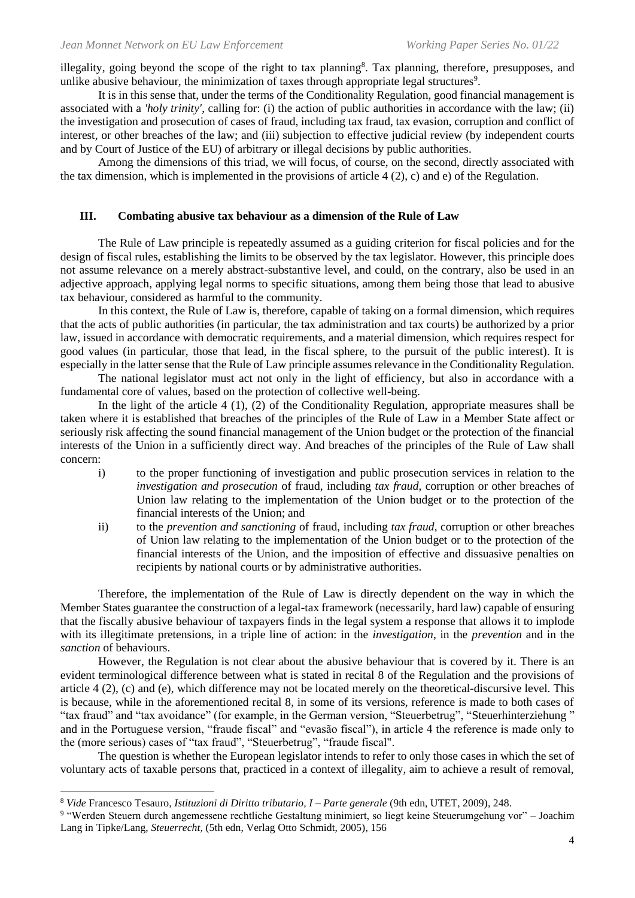illegality, going beyond the scope of the right to tax planning<sup>8</sup>. Tax planning, therefore, presupposes, and unlike abusive behaviour, the minimization of taxes through appropriate legal structures<sup>9</sup>.

It is in this sense that, under the terms of the Conditionality Regulation, good financial management is associated with a *'holy trinity'*, calling for: (i) the action of public authorities in accordance with the law; (ii) the investigation and prosecution of cases of fraud, including tax fraud, tax evasion, corruption and conflict of interest, or other breaches of the law; and (iii) subjection to effective judicial review (by independent courts and by Court of Justice of the EU) of arbitrary or illegal decisions by public authorities.

Among the dimensions of this triad, we will focus, of course, on the second, directly associated with the tax dimension, which is implemented in the provisions of article 4 (2), c) and e) of the Regulation.

#### **III. Combating abusive tax behaviour as a dimension of the Rule of Law**

The Rule of Law principle is repeatedly assumed as a guiding criterion for fiscal policies and for the design of fiscal rules, establishing the limits to be observed by the tax legislator. However, this principle does not assume relevance on a merely abstract-substantive level, and could, on the contrary, also be used in an adjective approach, applying legal norms to specific situations, among them being those that lead to abusive tax behaviour, considered as harmful to the community.

In this context, the Rule of Law is, therefore, capable of taking on a formal dimension, which requires that the acts of public authorities (in particular, the tax administration and tax courts) be authorized by a prior law, issued in accordance with democratic requirements, and a material dimension, which requires respect for good values (in particular, those that lead, in the fiscal sphere, to the pursuit of the public interest). It is especially in the latter sense that the Rule of Law principle assumes relevance in the Conditionality Regulation.

The national legislator must act not only in the light of efficiency, but also in accordance with a fundamental core of values, based on the protection of collective well-being.

In the light of the article  $4(1)$ ,  $(2)$  of the Conditionality Regulation, appropriate measures shall be taken where it is established that breaches of the principles of the Rule of Law in a Member State affect or seriously risk affecting the sound financial management of the Union budget or the protection of the financial interests of the Union in a sufficiently direct way. And breaches of the principles of the Rule of Law shall concern:

- i) to the proper functioning of investigation and public prosecution services in relation to the *investigation and prosecution* of fraud, including *tax fraud*, corruption or other breaches of Union law relating to the implementation of the Union budget or to the protection of the financial interests of the Union; and
- ii) to the *prevention and sanctioning* of fraud, including *tax fraud*, corruption or other breaches of Union law relating to the implementation of the Union budget or to the protection of the financial interests of the Union, and the imposition of effective and dissuasive penalties on recipients by national courts or by administrative authorities.

Therefore, the implementation of the Rule of Law is directly dependent on the way in which the Member States guarantee the construction of a legal-tax framework (necessarily, hard law) capable of ensuring that the fiscally abusive behaviour of taxpayers finds in the legal system a response that allows it to implode with its illegitimate pretensions, in a triple line of action: in the *investigation*, in the *prevention* and in the *sanction* of behaviours.

However, the Regulation is not clear about the abusive behaviour that is covered by it. There is an evident terminological difference between what is stated in recital 8 of the Regulation and the provisions of article 4 (2), (c) and (e), which difference may not be located merely on the theoretical-discursive level. This is because, while in the aforementioned recital 8, in some of its versions, reference is made to both cases of "tax fraud" and "tax avoidance" (for example, in the German version, "Steuerbetrug", "Steuerhinterziehung " and in the Portuguese version, "fraude fiscal" and "evasão fiscal"), in article 4 the reference is made only to the (more serious) cases of "tax fraud", "Steuerbetrug", "fraude fiscal".

The question is whether the European legislator intends to refer to only those cases in which the set of voluntary acts of taxable persons that, practiced in a context of illegality, aim to achieve a result of removal,

<sup>8</sup> *Vide* Francesco Tesauro, *Istituzioni di Diritto tributario, I – Parte generale* (9th edn, UTET, 2009), 248.

<sup>9</sup> "Werden Steuern durch angemessene rechtliche Gestaltung minimiert, so liegt keine Steuerumgehung vor" – Joachim Lang in Tipke/Lang, *Steuerrecht,* (5th edn, Verlag Otto Schmidt, 2005), 156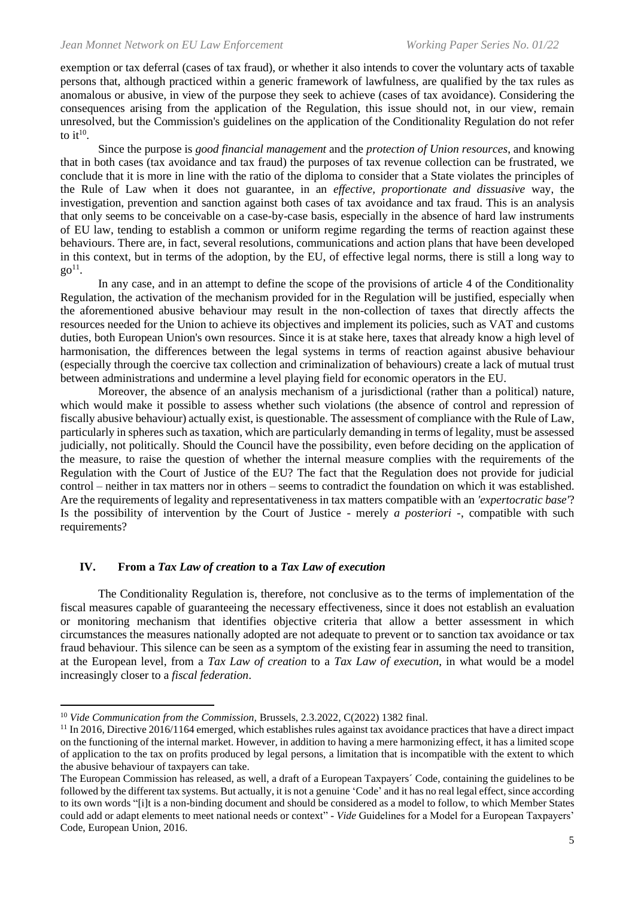exemption or tax deferral (cases of tax fraud), or whether it also intends to cover the voluntary acts of taxable persons that, although practiced within a generic framework of lawfulness, are qualified by the tax rules as anomalous or abusive, in view of the purpose they seek to achieve (cases of tax avoidance). Considering the consequences arising from the application of the Regulation, this issue should not, in our view, remain unresolved, but the Commission's guidelines on the application of the Conditionality Regulation do not refer to it<sup>10</sup>.

Since the purpose is *good financial management* and the *protection of Union resources*, and knowing that in both cases (tax avoidance and tax fraud) the purposes of tax revenue collection can be frustrated, we conclude that it is more in line with the ratio of the diploma to consider that a State violates the principles of the Rule of Law when it does not guarantee, in an *effective, proportionate and dissuasive* way, the investigation, prevention and sanction against both cases of tax avoidance and tax fraud. This is an analysis that only seems to be conceivable on a case-by-case basis, especially in the absence of hard law instruments of EU law, tending to establish a common or uniform regime regarding the terms of reaction against these behaviours. There are, in fact, several resolutions, communications and action plans that have been developed in this context, but in terms of the adoption, by the EU, of effective legal norms, there is still a long way to  $go^{11}$ .

In any case, and in an attempt to define the scope of the provisions of article 4 of the Conditionality Regulation, the activation of the mechanism provided for in the Regulation will be justified, especially when the aforementioned abusive behaviour may result in the non-collection of taxes that directly affects the resources needed for the Union to achieve its objectives and implement its policies, such as VAT and customs duties, both European Union's own resources. Since it is at stake here, taxes that already know a high level of harmonisation, the differences between the legal systems in terms of reaction against abusive behaviour (especially through the coercive tax collection and criminalization of behaviours) create a lack of mutual trust between administrations and undermine a level playing field for economic operators in the EU.

Moreover, the absence of an analysis mechanism of a jurisdictional (rather than a political) nature, which would make it possible to assess whether such violations (the absence of control and repression of fiscally abusive behaviour) actually exist, is questionable. The assessment of compliance with the Rule of Law, particularly in spheres such as taxation, which are particularly demanding in terms of legality, must be assessed judicially, not politically. Should the Council have the possibility, even before deciding on the application of the measure, to raise the question of whether the internal measure complies with the requirements of the Regulation with the Court of Justice of the EU? The fact that the Regulation does not provide for judicial control – neither in tax matters nor in others – seems to contradict the foundation on which it was established. Are the requirements of legality and representativeness in tax matters compatible with an *'expertocratic base'*? Is the possibility of intervention by the Court of Justice - merely *a posteriori -*, compatible with such requirements?

#### **IV. From a** *Tax Law of creation* **to a** *Tax Law of execution*

The Conditionality Regulation is, therefore, not conclusive as to the terms of implementation of the fiscal measures capable of guaranteeing the necessary effectiveness, since it does not establish an evaluation or monitoring mechanism that identifies objective criteria that allow a better assessment in which circumstances the measures nationally adopted are not adequate to prevent or to sanction tax avoidance or tax fraud behaviour. This silence can be seen as a symptom of the existing fear in assuming the need to transition, at the European level, from a *Tax Law of creation* to a *Tax Law of execution*, in what would be a model increasingly closer to a *fiscal federation*.

<sup>&</sup>lt;sup>10</sup> *Vide Communication from the Commission, Brussels, 2.3.2022, C(2022) 1382 final.* 

 $11$  In 2016, Directive 2016/1164 emerged, which establishes rules against tax avoidance practices that have a direct impact on the functioning of the internal market. However, in addition to having a mere harmonizing effect, it has a limited scope of application to the tax on profits produced by legal persons, a limitation that is incompatible with the extent to which the abusive behaviour of taxpayers can take.

The European Commission has released, as well, a draft of a European Taxpayers´ Code, containing the guidelines to be followed by the different tax systems. But actually, it is not a genuine 'Code' and it has no real legal effect, since according to its own words "[i]t is a non-binding document and should be considered as a model to follow, to which Member States could add or adapt elements to meet national needs or context" - *Vide* Guidelines for a Model for a European Taxpayers' Code, European Union, 2016.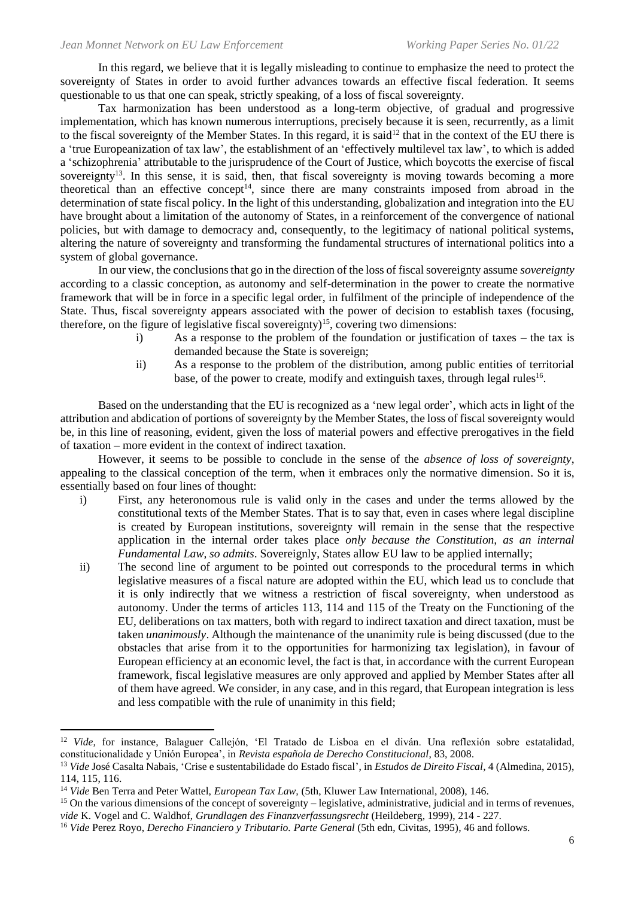In this regard, we believe that it is legally misleading to continue to emphasize the need to protect the sovereignty of States in order to avoid further advances towards an effective fiscal federation. It seems questionable to us that one can speak, strictly speaking, of a loss of fiscal sovereignty.

Tax harmonization has been understood as a long-term objective, of gradual and progressive implementation, which has known numerous interruptions, precisely because it is seen, recurrently, as a limit to the fiscal sovereignty of the Member States. In this regard, it is said<sup>12</sup> that in the context of the EU there is a 'true Europeanization of tax law', the establishment of an 'effectively multilevel tax law', to which is added a 'schizophrenia' attributable to the jurisprudence of the Court of Justice, which boycotts the exercise of fiscal sovereignty<sup>13</sup>. In this sense, it is said, then, that fiscal sovereignty is moving towards becoming a more theoretical than an effective concept<sup>14</sup>, since there are many constraints imposed from abroad in the determination of state fiscal policy. In the light of this understanding, globalization and integration into the EU have brought about a limitation of the autonomy of States, in a reinforcement of the convergence of national policies, but with damage to democracy and, consequently, to the legitimacy of national political systems, altering the nature of sovereignty and transforming the fundamental structures of international politics into a system of global governance.

In our view, the conclusions that go in the direction of the loss of fiscal sovereignty assume *sovereignty* according to a classic conception, as autonomy and self-determination in the power to create the normative framework that will be in force in a specific legal order, in fulfilment of the principle of independence of the State. Thus, fiscal sovereignty appears associated with the power of decision to establish taxes (focusing, therefore, on the figure of legislative fiscal sovereignty)<sup>15</sup>, covering two dimensions:

- i) As a response to the problem of the foundation or justification of taxes the tax is demanded because the State is sovereign;
- ii) As a response to the problem of the distribution, among public entities of territorial base, of the power to create, modify and extinguish taxes, through legal rules<sup>16</sup>.

Based on the understanding that the EU is recognized as a 'new legal order', which acts in light of the attribution and abdication of portions of sovereignty by the Member States, the loss of fiscal sovereignty would be, in this line of reasoning, evident, given the loss of material powers and effective prerogatives in the field of taxation – more evident in the context of indirect taxation.

However, it seems to be possible to conclude in the sense of the *absence of loss of sovereignty*, appealing to the classical conception of the term, when it embraces only the normative dimension. So it is, essentially based on four lines of thought:

- i) First, any heteronomous rule is valid only in the cases and under the terms allowed by the constitutional texts of the Member States. That is to say that, even in cases where legal discipline is created by European institutions, sovereignty will remain in the sense that the respective application in the internal order takes place *only because the Constitution, as an internal Fundamental Law, so admits*. Sovereignly, States allow EU law to be applied internally;
- ii) The second line of argument to be pointed out corresponds to the procedural terms in which legislative measures of a fiscal nature are adopted within the EU, which lead us to conclude that it is only indirectly that we witness a restriction of fiscal sovereignty, when understood as autonomy. Under the terms of articles 113, 114 and 115 of the Treaty on the Functioning of the EU, deliberations on tax matters, both with regard to indirect taxation and direct taxation, must be taken *unanimously*. Although the maintenance of the unanimity rule is being discussed (due to the obstacles that arise from it to the opportunities for harmonizing tax legislation), in favour of European efficiency at an economic level, the fact is that, in accordance with the current European framework, fiscal legislative measures are only approved and applied by Member States after all of them have agreed. We consider, in any case, and in this regard, that European integration is less and less compatible with the rule of unanimity in this field;

<sup>12</sup> *Vide,* for instance, Balaguer Callejón, 'El Tratado de Lisboa en el diván. Una reflexión sobre estatalidad, constitucionalidade y Unión Europea', in *Revista española de Derecho Constitucional*, 83, 2008.

<sup>13</sup> *Vide* José Casalta Nabais, 'Crise e sustentabilidade do Estado fiscal', in *Estudos de Direito Fiscal*, 4 (Almedina, 2015), 114, 115, 116.

<sup>14</sup> *Vide* Ben Terra and Peter Wattel, *European Tax Law,* (5th, Kluwer Law International, 2008), 146.

 $15$  On the various dimensions of the concept of sovereignty – legislative, administrative, judicial and in terms of revenues, *vide* K. Vogel and C. Waldhof, *Grundlagen des Finanzverfassungsrecht* (Heildeberg, 1999), 214 - 227.

<sup>16</sup> *Vide* Perez Royo, *Derecho Financiero y Tributario. Parte General* (5th edn, Civitas, 1995), 46 and follows.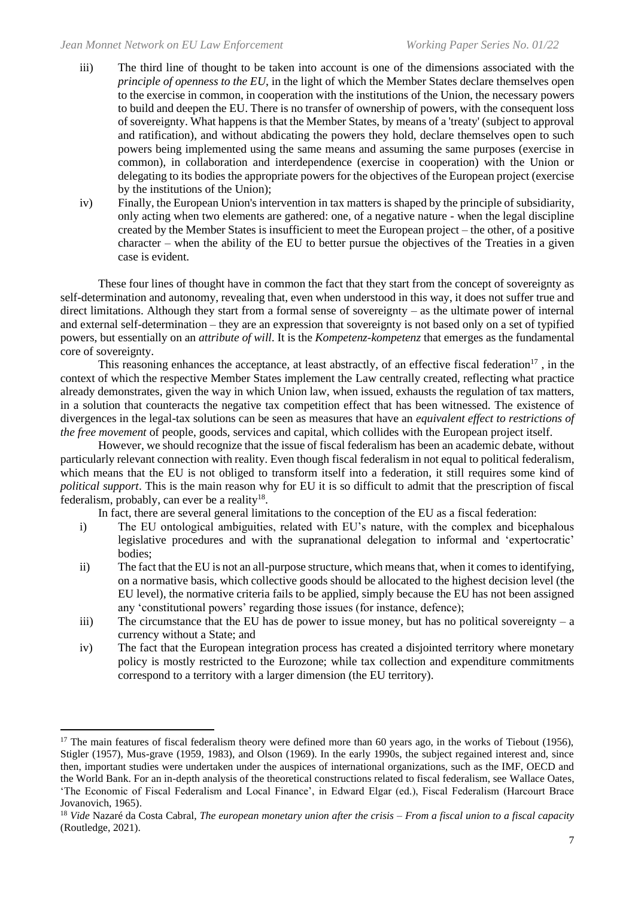- iii) The third line of thought to be taken into account is one of the dimensions associated with the *principle of openness to the EU*, in the light of which the Member States declare themselves open to the exercise in common, in cooperation with the institutions of the Union, the necessary powers to build and deepen the EU. There is no transfer of ownership of powers, with the consequent loss of sovereignty. What happens is that the Member States, by means of a 'treaty' (subject to approval and ratification), and without abdicating the powers they hold, declare themselves open to such powers being implemented using the same means and assuming the same purposes (exercise in common), in collaboration and interdependence (exercise in cooperation) with the Union or delegating to its bodies the appropriate powers for the objectives of the European project (exercise by the institutions of the Union);
- iv) Finally, the European Union's intervention in tax matters is shaped by the principle of subsidiarity, only acting when two elements are gathered: one, of a negative nature - when the legal discipline created by the Member States is insufficient to meet the European project – the other, of a positive character – when the ability of the EU to better pursue the objectives of the Treaties in a given case is evident.

These four lines of thought have in common the fact that they start from the concept of sovereignty as self-determination and autonomy, revealing that, even when understood in this way, it does not suffer true and direct limitations. Although they start from a formal sense of sovereignty – as the ultimate power of internal and external self-determination – they are an expression that sovereignty is not based only on a set of typified powers, but essentially on an *attribute of will*. It is the *Kompetenz-kompetenz* that emerges as the fundamental core of sovereignty.

This reasoning enhances the acceptance, at least abstractly, of an effective fiscal federation<sup>17</sup>, in the context of which the respective Member States implement the Law centrally created, reflecting what practice already demonstrates, given the way in which Union law, when issued, exhausts the regulation of tax matters, in a solution that counteracts the negative tax competition effect that has been witnessed. The existence of divergences in the legal-tax solutions can be seen as measures that have an *equivalent effect to restrictions of the free movement* of people, goods, services and capital, which collides with the European project itself.

However, we should recognize that the issue of fiscal federalism has been an academic debate, without particularly relevant connection with reality. Even though fiscal federalism in not equal to political federalism, which means that the EU is not obliged to transform itself into a federation, it still requires some kind of *political support*. This is the main reason why for EU it is so difficult to admit that the prescription of fiscal federalism, probably, can ever be a reality $^{18}$ .

In fact, there are several general limitations to the conception of the EU as a fiscal federation:

- i) The EU ontological ambiguities, related with EU's nature, with the complex and bicephalous legislative procedures and with the supranational delegation to informal and 'expertocratic' bodies;
- ii) The fact that the EU is not an all-purpose structure, which means that, when it comes to identifying, on a normative basis, which collective goods should be allocated to the highest decision level (the EU level), the normative criteria fails to be applied, simply because the EU has not been assigned any 'constitutional powers' regarding those issues (for instance, defence);
- iii) The circumstance that the EU has de power to issue money, but has no political sovereignty a currency without a State; and
- iv) The fact that the European integration process has created a disjointed territory where monetary policy is mostly restricted to the Eurozone; while tax collection and expenditure commitments correspond to a territory with a larger dimension (the EU territory).

<sup>&</sup>lt;sup>17</sup> The main features of fiscal federalism theory were defined more than 60 years ago, in the works of Tiebout (1956), Stigler (1957), Mus-grave (1959, 1983), and Olson (1969). In the early 1990s, the subject regained interest and, since then, important studies were undertaken under the auspices of international organizations, such as the IMF, OECD and the World Bank. For an in-depth analysis of the theoretical constructions related to fiscal federalism, see Wallace Oates, 'The Economic of Fiscal Federalism and Local Finance', in Edward Elgar (ed.), Fiscal Federalism (Harcourt Brace Jovanovich, 1965).

<sup>18</sup> *Vide* Nazaré da Costa Cabral, *The european monetary union after the crisis – From a fiscal union to a fiscal capacity*  (Routledge, 2021).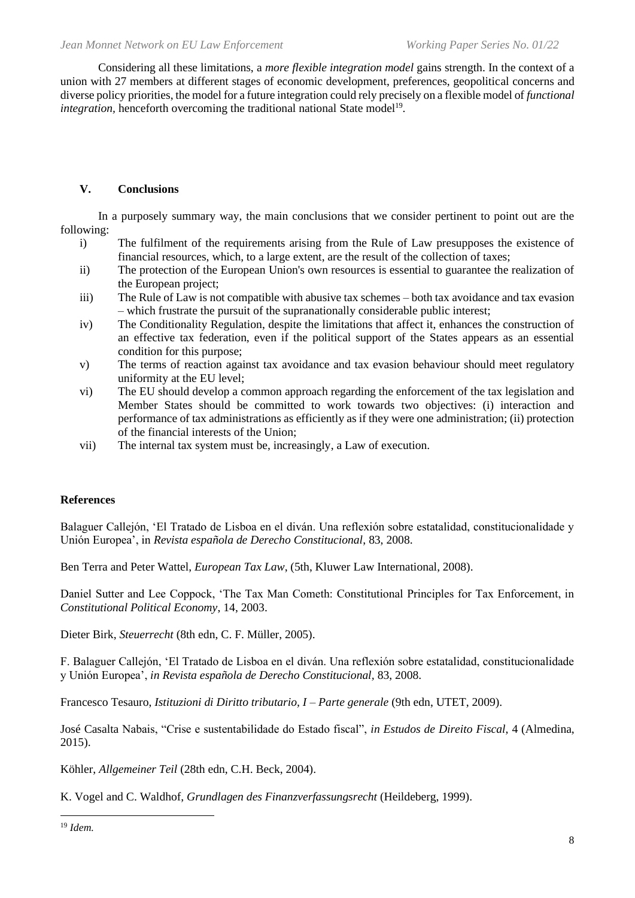Considering all these limitations, a *more flexible integration model* gains strength. In the context of a union with 27 members at different stages of economic development, preferences, geopolitical concerns and diverse policy priorities, the model for a future integration could rely precisely on a flexible model of *functional integration*, henceforth overcoming the traditional national State model<sup>19</sup>.

#### **V. Conclusions**

In a purposely summary way, the main conclusions that we consider pertinent to point out are the following:

- i) The fulfilment of the requirements arising from the Rule of Law presupposes the existence of financial resources, which, to a large extent, are the result of the collection of taxes;
- ii) The protection of the European Union's own resources is essential to guarantee the realization of the European project;
- iii) The Rule of Law is not compatible with abusive tax schemes both tax avoidance and tax evasion – which frustrate the pursuit of the supranationally considerable public interest;
- iv) The Conditionality Regulation, despite the limitations that affect it, enhances the construction of an effective tax federation, even if the political support of the States appears as an essential condition for this purpose;
- v) The terms of reaction against tax avoidance and tax evasion behaviour should meet regulatory uniformity at the EU level;
- vi) The EU should develop a common approach regarding the enforcement of the tax legislation and Member States should be committed to work towards two objectives: (i) interaction and performance of tax administrations as efficiently as if they were one administration; (ii) protection of the financial interests of the Union;
- vii) The internal tax system must be, increasingly, a Law of execution.

#### **References**

Balaguer Callejón, 'El Tratado de Lisboa en el diván. Una reflexión sobre estatalidad, constitucionalidade y Unión Europea', in *Revista española de Derecho Constitucional*, 83, 2008.

Ben Terra and Peter Wattel, *European Tax Law*, (5th, Kluwer Law International, 2008).

Daniel Sutter and Lee Coppock, 'The Tax Man Cometh: Constitutional Principles for Tax Enforcement, in *Constitutional Political Economy*, 14, 2003.

Dieter Birk, *Steuerrecht* (8th edn, C. F. Müller, 2005).

F. Balaguer Callejón, 'El Tratado de Lisboa en el diván. Una reflexión sobre estatalidad, constitucionalidade y Unión Europea', *in Revista española de Derecho Constitucional,* 83, 2008.

Francesco Tesauro, *Istituzioni di Diritto tributario, I – Parte generale* (9th edn, UTET, 2009).

José Casalta Nabais, "Crise e sustentabilidade do Estado fiscal", *in Estudos de Direito Fiscal*, 4 (Almedina, 2015).

Köhler, *Allgemeiner Teil* (28th edn, C.H. Beck, 2004).

K. Vogel and C. Waldhof, *Grundlagen des Finanzverfassungsrecht* (Heildeberg, 1999).

<sup>19</sup> *Idem.*